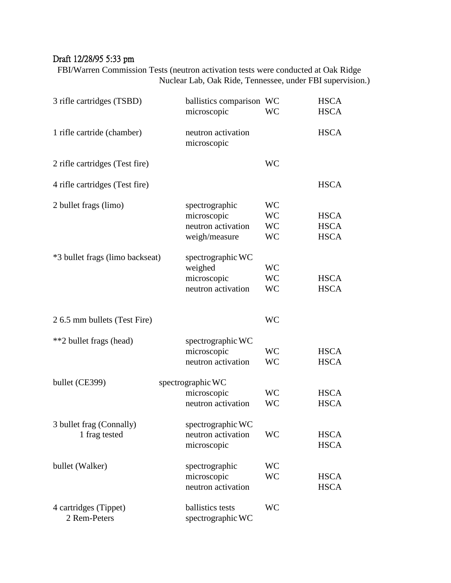## Draft 12/28/95 5:33 pm

FBI/Warren Commission Tests (neutron activation tests were conducted at Oak Ridge Nuclear Lab, Oak Ride, Tennessee, under FBI supervision.)

| 3 rifle cartridges (TSBD)                 | ballistics comparison WC<br>microscopic                              | <b>WC</b>                                        | <b>HSCA</b><br><b>HSCA</b>                |
|-------------------------------------------|----------------------------------------------------------------------|--------------------------------------------------|-------------------------------------------|
| 1 rifle cartride (chamber)                | neutron activation<br>microscopic                                    |                                                  | <b>HSCA</b>                               |
| 2 rifle cartridges (Test fire)            |                                                                      | <b>WC</b>                                        |                                           |
| 4 rifle cartridges (Test fire)            |                                                                      |                                                  | <b>HSCA</b>                               |
| 2 bullet frags (limo)                     | spectrographic<br>microscopic<br>neutron activation<br>weigh/measure | <b>WC</b><br><b>WC</b><br><b>WC</b><br><b>WC</b> | <b>HSCA</b><br><b>HSCA</b><br><b>HSCA</b> |
| *3 bullet frags (limo backseat)           | spectrographic WC<br>weighed<br>microscopic<br>neutron activation    | <b>WC</b><br><b>WC</b><br><b>WC</b>              | <b>HSCA</b><br><b>HSCA</b>                |
| 2 6.5 mm bullets (Test Fire)              |                                                                      | <b>WC</b>                                        |                                           |
| **2 bullet frags (head)                   | spectrographic WC<br>microscopic<br>neutron activation               | <b>WC</b><br><b>WC</b>                           | <b>HSCA</b><br><b>HSCA</b>                |
| bullet (CE399)                            | spectrographic WC<br>microscopic<br>neutron activation               | <b>WC</b><br><b>WC</b>                           | <b>HSCA</b><br><b>HSCA</b>                |
| 3 bullet frag (Connally)<br>1 frag tested | spectrographic WC<br>neutron activation<br>microscopic               | <b>WC</b>                                        | <b>HSCA</b><br><b>HSCA</b>                |
| bullet (Walker)                           | spectrographic<br>microscopic<br>neutron activation                  | <b>WC</b><br><b>WC</b>                           | <b>HSCA</b><br><b>HSCA</b>                |
| 4 cartridges (Tippet)<br>2 Rem-Peters     | ballistics tests<br>spectrographic WC                                | <b>WC</b>                                        |                                           |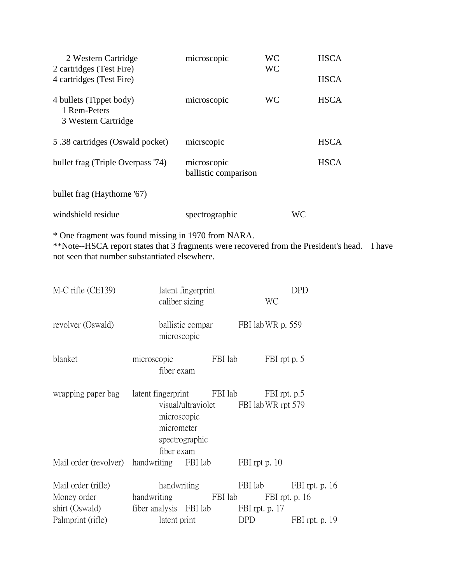| 2 Western Cartridge<br>2 cartridges (Test Fire)                | microscopic                         | WС<br><b>WC</b> |    | <b>HSCA</b> |
|----------------------------------------------------------------|-------------------------------------|-----------------|----|-------------|
| 4 cartridges (Test Fire)                                       |                                     |                 |    | <b>HSCA</b> |
| 4 bullets (Tippet body)<br>1 Rem-Peters<br>3 Western Cartridge | microscopic                         | WС              |    | <b>HSCA</b> |
| 5.38 cartridges (Oswald pocket)                                | micrscopic                          |                 |    | <b>HSCA</b> |
| bullet frag (Triple Overpass '74)                              | microscopic<br>ballistic comparison |                 |    | <b>HSCA</b> |
| bullet frag (Haythorne '67)                                    |                                     |                 |    |             |
| windshield residue                                             | spectrographic                      |                 | WC |             |

\* One fragment was found missing in 1970 from NARA.

\*\*Note--HSCA report states that 3 fragments were recovered from the President's head. I have not seen that number substantiated elsewhere.

| M-C rifle (CE139)                                                          | latent fingerprint<br>caliber sizing                                                               |         | WC                          | <b>DPD</b>                                 |
|----------------------------------------------------------------------------|----------------------------------------------------------------------------------------------------|---------|-----------------------------|--------------------------------------------|
| revolver (Oswald)                                                          | ballistic compar FBI lab WR p. 559<br>microscopic                                                  |         |                             |                                            |
| blanket                                                                    | microscopic<br>fiber exam                                                                          | FBI lab | FBI rpt p. 5                |                                            |
| wrapping paper bag latent fingerprint FBI lab FBI rpt. p.5                 | visual/ultraviolet FBI lab WR rpt 579<br>microscopic<br>micrometer<br>spectrographic<br>fiber exam |         |                             |                                            |
| Mail order (revolver) handwriting FBI lab                                  |                                                                                                    |         | FBI rpt p. 10               |                                            |
| Mail order (rifle)<br>Money order handwriting FBI lab<br>Palmprint (rifle) | handwriting<br>shirt (Oswald) fiber analysis FBI lab FBI rpt. p. 17<br>latent print                |         | FBI rpt. p. $16$<br>DPD DPD | FBI lab FBI rpt. p. 16<br>FBI rpt. p. $19$ |